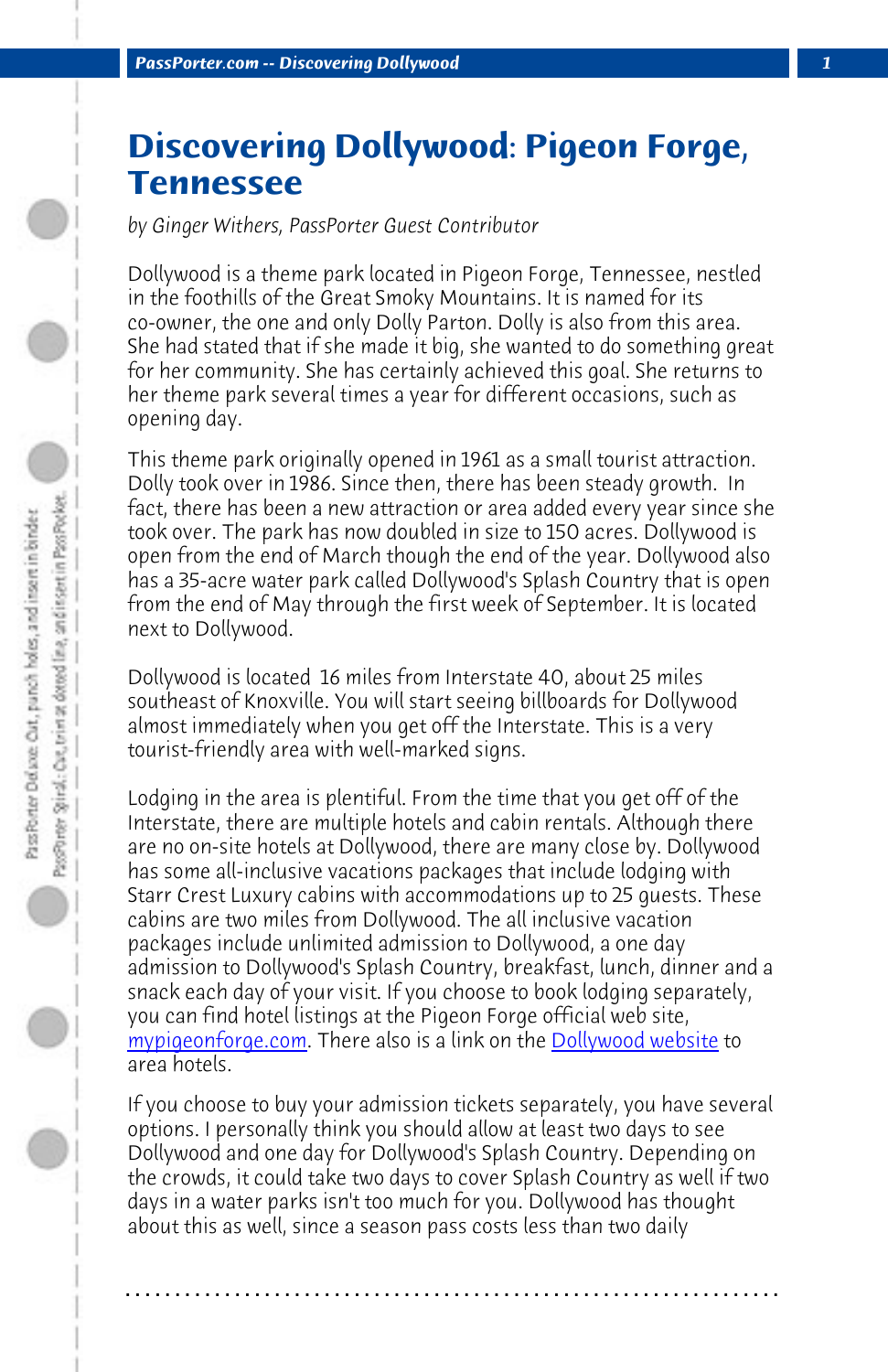*PassPorter.com -- Discovering Dollywood 1*

## **Discovering Dollywood: Pigeon Forge, Tennessee**

*by Ginger Withers, PassPorter Guest Contributor*

Dollywood is a theme park located in Pigeon Forge, Tennessee, nestled in the foothills of the Great Smoky Mountains. It is named for its co-owner, the one and only Dolly Parton. Dolly is also from this area. She had stated that if she made it big, she wanted to do something great for her community. She has certainly achieved this goal. She returns to her theme park several times a year for different occasions, such as opening day.

This theme park originally opened in 1961 as a small tourist attraction. Dolly took over in 1986. Since then, there has been steady growth. In fact, there has been a new attraction or area added every year since she took over. The park has now doubled in size to 150 acres. Dollywood is open from the end of March though the end of the year. Dollywood also has a 35-acre water park called Dollywood's Splash Country that is open from the end of May through the first week of September. It is located [next to Dollywood.](http://www.mypigeonforge.com/) 

Dollywood is located 16 miles from Interstate 40, about 25 miles southeast of Knoxville. You will start seeing billboards for Dollywood almost immediately when you get off the Interstate. This is a very tourist-friendly area with well-marked signs.

Lodging in the area is plentiful. From the time that you get off of the Interstate, there are multiple hotels and cabin rentals. Although there are no on-site hotels at Dollywood, there are many close by. Dollywood has some all-inclusive vacations packages that include lodging with Starr Crest Luxury cabins with accommodations up to 25 guests. These cabins are two miles from Dollywood. The all inclusive vacation packages include unlimited admission to Dollywood, a one day admission to Dollywood's Splash Country, breakfast, lunch, dinner and a snack each day of your visit. If you choose to book lodging separately, you can find hotel listings at the Pigeon Forge official web site, mypigeonforge.com. There also is a link on the Dollywood website to area hotels.

If you choose to buy your admission tickets separately, you have several options. I personally think you should allow at least two days to see Dollywood and one day for Dollywood's Splash Country. Depending on the crowds, it could take two days to cover Splash Country as well if two days in a water parks isn't too much for you. Dollywood has thought about this as well, since a season pass costs less than two daily

**. . . . . . . . . . . . . . . . . . . . . . . . . . . . . . . . . . . . . . . . . . . . . . . . . . . . . . . . . . . . . . . . . .**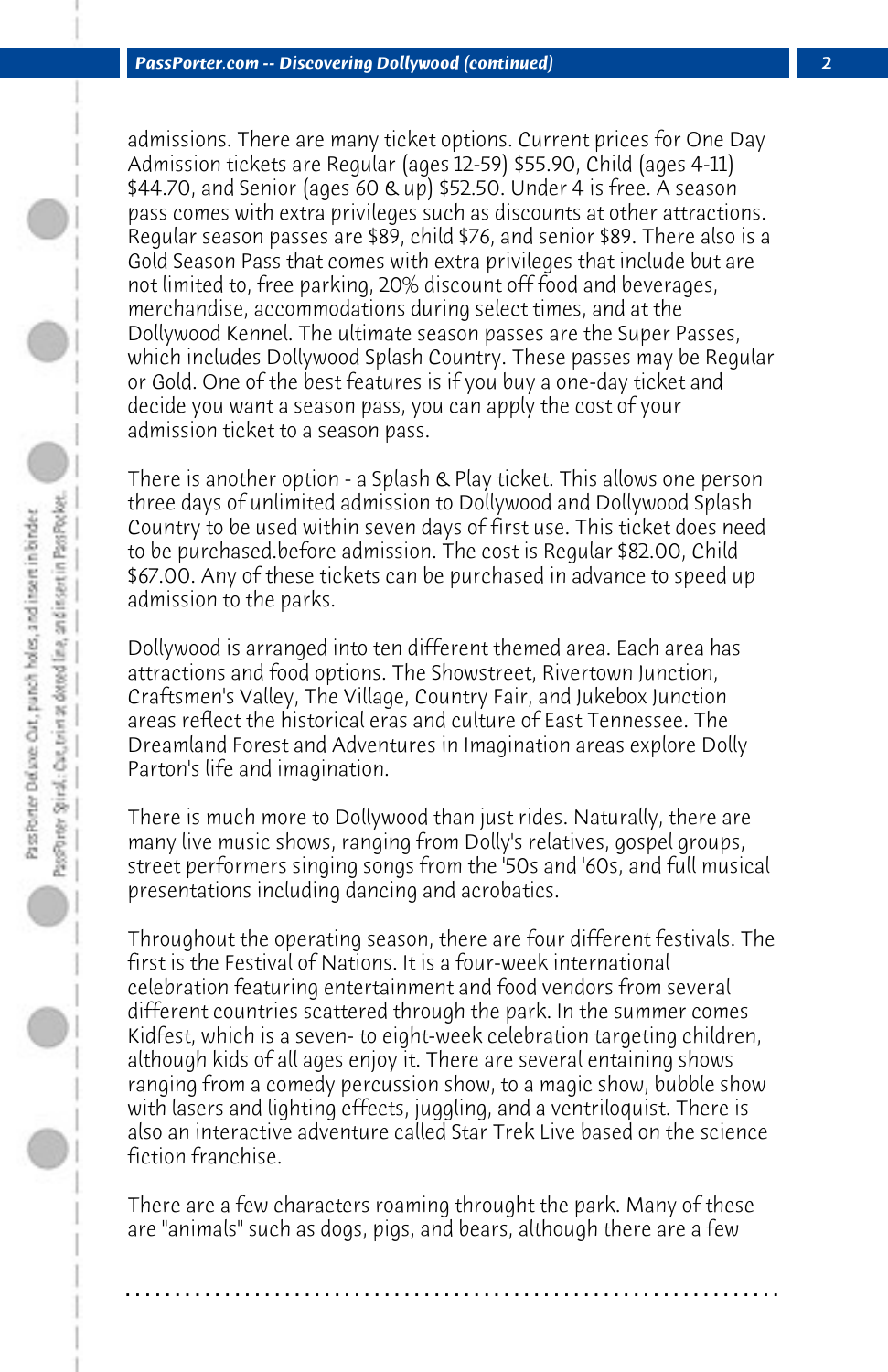admissions. There are many ticket options. Current prices for One Day Admission tickets are Regular (ages 12-59) \$55.90, Child (ages 4-11) \$44.70, and Senior (ages 60 & up) \$52.50. Under 4 is free. A season pass comes with extra privileges such as discounts at other attractions. Regular season passes are \$89, child \$76, and senior \$89. There also is a Gold Season Pass that comes with extra privileges that include but are not limited to, free parking, 20% discount off food and beverages, merchandise, accommodations during select times, and at the Dollywood Kennel. The ultimate season passes are the Super Passes, which includes Dollywood Splash Country. These passes may be Regular or Gold. One of the best features is if you buy a one-day ticket and decide you want a season pass, you can apply the cost of your admission ticket to a season pass.

There is another option - a Splash & Play ticket. This allows one person three days of unlimited admission to Dollywood and Dollywood Splash Country to be used within seven days of first use. This ticket does need to be purchased.before admission. The cost is Regular \$82.00, Child \$67.00. Any of these tickets can be purchased in advance to speed up admission to the parks.

Dollywood is arranged into ten different themed area. Each area has attractions and food options. The Showstreet, Rivertown Junction, Craftsmen's Valley, The Village, Country Fair, and Jukebox Junction areas reflect the historical eras and culture of East Tennessee. The Dreamland Forest and Adventures in Imagination areas explore Dolly Parton's life and imagination.

There is much more to Dollywood than just rides. Naturally, there are many live music shows, ranging from Dolly's relatives, gospel groups, street performers singing songs from the '50s and '60s, and full musical presentations including dancing and acrobatics.

Throughout the operating season, there are four different festivals. The first is the Festival of Nations. It is a four-week international celebration featuring entertainment and food vendors from several different countries scattered through the park. In the summer comes Kidfest, which is a seven- to eight-week celebration targeting children, although kids of all ages enjoy it. There are several entaining shows ranging from a comedy percussion show, to a magic show, bubble show with lasers and lighting effects, juggling, and a ventriloquist. There is also an interactive adventure called Star Trek Live based on the science fiction franchise.

There are a few characters roaming throught the park. Many of these are "animals" such as dogs, pigs, and bears, although there are a few

**. . . . . . . . . . . . . . . . . . . . . . . . . . . . . . . . . . . . . . . . . . . . . . . . . . . . . . . . . . . . . . . . . .**